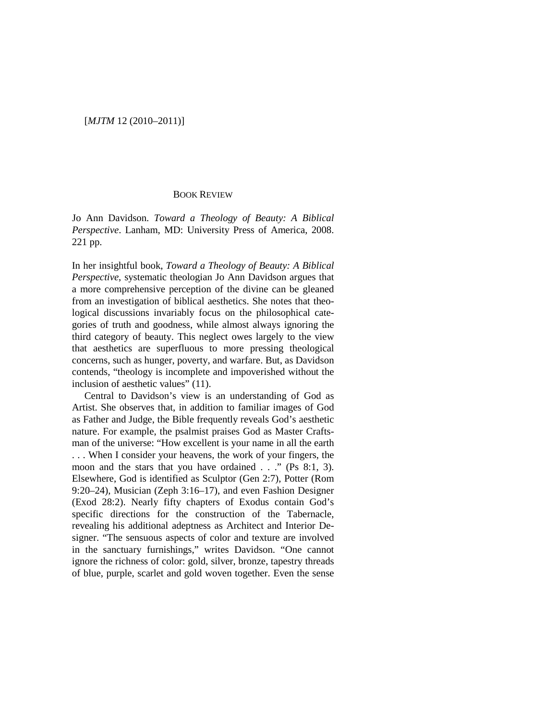## [*MJTM* 12 (2010–2011)]

## BOOK REVIEW

Jo Ann Davidson. *Toward a Theology of Beauty: A Biblical Perspective*. Lanham, MD: University Press of America, 2008. 221 pp.

In her insightful book, *Toward a Theology of Beauty: A Biblical Perspective*, systematic theologian Jo Ann Davidson argues that a more comprehensive perception of the divine can be gleaned from an investigation of biblical aesthetics. She notes that theological discussions invariably focus on the philosophical categories of truth and goodness, while almost always ignoring the third category of beauty. This neglect owes largely to the view that aesthetics are superfluous to more pressing theological concerns, such as hunger, poverty, and warfare. But, as Davidson contends, "theology is incomplete and impoverished without the inclusion of aesthetic values" (11).

Central to Davidson's view is an understanding of God as Artist. She observes that, in addition to familiar images of God as Father and Judge, the Bible frequently reveals God's aesthetic nature. For example, the psalmist praises God as Master Craftsman of the universe: "How excellent is your name in all the earth . . . When I consider your heavens, the work of your fingers, the moon and the stars that you have ordained . . ." (Ps 8:1, 3). Elsewhere, God is identified as Sculptor (Gen 2:7), Potter (Rom 9:20–24), Musician (Zeph 3:16–17), and even Fashion Designer (Exod 28:2). Nearly fifty chapters of Exodus contain God's specific directions for the construction of the Tabernacle, revealing his additional adeptness as Architect and Interior Designer. "The sensuous aspects of color and texture are involved in the sanctuary furnishings," writes Davidson. "One cannot ignore the richness of color: gold, silver, bronze, tapestry threads of blue, purple, scarlet and gold woven together. Even the sense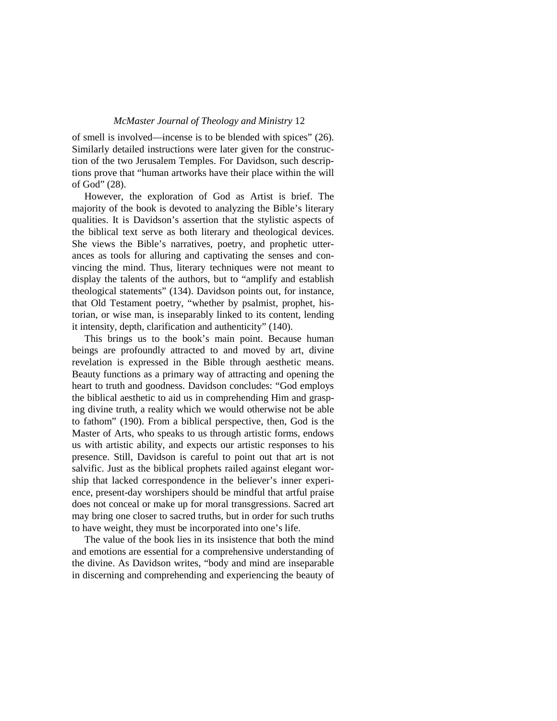## *McMaster Journal of Theology and Ministry* 12

of smell is involved—incense is to be blended with spices" (26). Similarly detailed instructions were later given for the construction of the two Jerusalem Temples. For Davidson, such descriptions prove that "human artworks have their place within the will of God" (28).

However, the exploration of God as Artist is brief. The majority of the book is devoted to analyzing the Bible's literary qualities. It is Davidson's assertion that the stylistic aspects of the biblical text serve as both literary and theological devices. She views the Bible's narratives, poetry, and prophetic utterances as tools for alluring and captivating the senses and convincing the mind. Thus, literary techniques were not meant to display the talents of the authors, but to "amplify and establish theological statements" (134). Davidson points out, for instance, that Old Testament poetry, "whether by psalmist, prophet, historian, or wise man, is inseparably linked to its content, lending it intensity, depth, clarification and authenticity" (140).

This brings us to the book's main point. Because human beings are profoundly attracted to and moved by art, divine revelation is expressed in the Bible through aesthetic means. Beauty functions as a primary way of attracting and opening the heart to truth and goodness. Davidson concludes: "God employs the biblical aesthetic to aid us in comprehending Him and grasping divine truth, a reality which we would otherwise not be able to fathom" (190). From a biblical perspective, then, God is the Master of Arts, who speaks to us through artistic forms, endows us with artistic ability, and expects our artistic responses to his presence. Still, Davidson is careful to point out that art is not salvific. Just as the biblical prophets railed against elegant worship that lacked correspondence in the believer's inner experience, present-day worshipers should be mindful that artful praise does not conceal or make up for moral transgressions. Sacred art may bring one closer to sacred truths, but in order for such truths to have weight, they must be incorporated into one's life.

The value of the book lies in its insistence that both the mind and emotions are essential for a comprehensive understanding of the divine. As Davidson writes, "body and mind are inseparable in discerning and comprehending and experiencing the beauty of